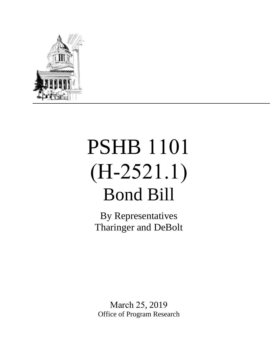

## PSHB 1101 (H-2521.1) Bond Bill

By Representatives Tharinger and DeBolt

March 25, 2019 Office of Program Research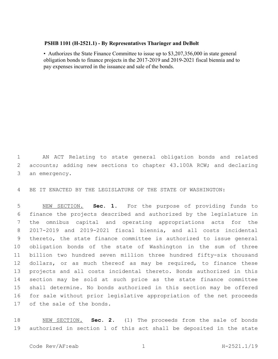## **PSHB 1101 (H-2521.1) - By Representatives Tharinger and DeBolt**

• Authorizes the State Finance Committee to issue up to \$3,207,356,000 in state general obligation bonds to finance projects in the 2017-2019 and 2019-2021 fiscal biennia and to pay expenses incurred in the issuance and sale of the bonds.

 AN ACT Relating to state general obligation bonds and related 2 accounts; adding new sections to chapter 43.100A RCW; and declaring an emergency.

BE IT ENACTED BY THE LEGISLATURE OF THE STATE OF WASHINGTON:

 NEW SECTION. **Sec. 1.** For the purpose of providing funds to finance the projects described and authorized by the legislature in the omnibus capital and operating appropriations acts for the 2017-2019 and 2019-2021 fiscal biennia, and all costs incidental thereto, the state finance committee is authorized to issue general obligation bonds of the state of Washington in the sum of three billion two hundred seven million three hundred fifty-six thousand 12 dollars, or as much thereof as may be required, to finance these projects and all costs incidental thereto. Bonds authorized in this section may be sold at such price as the state finance committee shall determine. No bonds authorized in this section may be offered for sale without prior legislative appropriation of the net proceeds of the sale of the bonds.

 NEW SECTION. **Sec. 2.** (1) The proceeds from the sale of bonds authorized in section 1 of this act shall be deposited in the state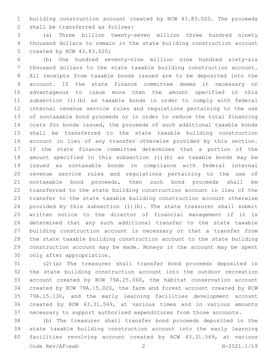building construction account created by RCW 43.83.020. The proceeds 2 shall be transferred as follows:

 (a) Three billion twenty-seven million three hundred ninety thousand dollars to remain in the state building construction account 5 created by RCW 43.83.020;

 (b) One hundred seventy-nine million nine hundred sixty-six thousand dollars to the state taxable building construction account. All receipts from taxable bonds issued are to be deposited into the account. If the state finance committee deems it necessary or advantageous to issue more than the amount specified in this subsection (1)(b) as taxable bonds in order to comply with federal internal revenue service rules and regulations pertaining to the use of nontaxable bond proceeds or in order to reduce the total financing costs for bonds issued, the proceeds of such additional taxable bonds shall be transferred to the state taxable building construction account in lieu of any transfer otherwise provided by this section. If the state finance committee determines that a portion of the amount specified in this subsection (1)(b) as taxable bonds may be issued as nontaxable bonds in compliance with federal internal revenue service rules and regulations pertaining to the use of nontaxable bond proceeds, then such bond proceeds shall be transferred to the state building construction account in lieu of the transfer to the state taxable building construction account otherwise provided by this subsection (1)(b). The state treasurer shall submit written notice to the director of financial management if it is determined that any such additional transfer to the state taxable building construction account is necessary or that a transfer from the state taxable building construction account to the state building construction account may be made. Moneys in the account may be spent 30 only after appropriation.

 (2)(a) The treasurer shall transfer bond proceeds deposited in the state building construction account into the outdoor recreation account created by RCW 79A.25.060, the habitat conservation account created by RCW 79A.15.020, the farm and forest account created by RCW 79A.15.130, and the early learning facilities development account created by RCW 43.31.569, at various times and in various amounts necessary to support authorized expenditures from those accounts.

 (b) The treasurer shall transfer bond proceeds deposited in the state taxable building construction account into the early learning facilities revolving account created by RCW 43.31.569, at various Code Rev/AF:eab 2 H-2521.1/19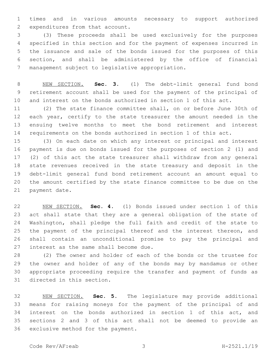times and in various amounts necessary to support authorized 2 expenditures from that account.

 (3) These proceeds shall be used exclusively for the purposes specified in this section and for the payment of expenses incurred in the issuance and sale of the bonds issued for the purposes of this section, and shall be administered by the office of financial 7 management subject to legislative appropriation.

 NEW SECTION. **Sec. 3.** (1) The debt-limit general fund bond retirement account shall be used for the payment of the principal of and interest on the bonds authorized in section 1 of this act.

 (2) The state finance committee shall, on or before June 30th of each year, certify to the state treasurer the amount needed in the ensuing twelve months to meet the bond retirement and interest requirements on the bonds authorized in section 1 of this act.

 (3) On each date on which any interest or principal and interest payment is due on bonds issued for the purposes of section 2 (1) and (2) of this act the state treasurer shall withdraw from any general state revenues received in the state treasury and deposit in the debt-limit general fund bond retirement account an amount equal to the amount certified by the state finance committee to be due on the 21 payment date.

 NEW SECTION. **Sec. 4.** (1) Bonds issued under section 1 of this act shall state that they are a general obligation of the state of Washington, shall pledge the full faith and credit of the state to the payment of the principal thereof and the interest thereon, and shall contain an unconditional promise to pay the principal and interest as the same shall become due.

 (2) The owner and holder of each of the bonds or the trustee for the owner and holder of any of the bonds may by mandamus or other appropriate proceeding require the transfer and payment of funds as 31 directed in this section.

 NEW SECTION. **Sec. 5.** The legislature may provide additional means for raising moneys for the payment of the principal of and interest on the bonds authorized in section 1 of this act, and sections 2 and 3 of this act shall not be deemed to provide an exclusive method for the payment.